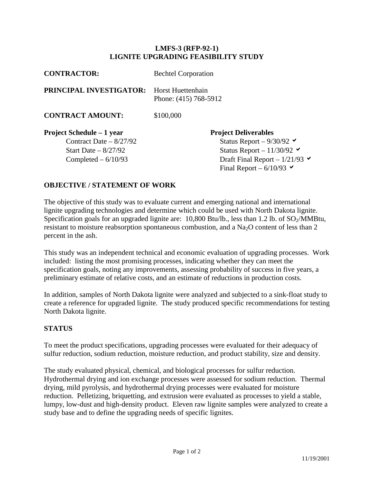## **LMFS-3 (RFP-92-1) LIGNITE UPGRADING FEASIBILITY STUDY**

| <b>CONTRACTOR:</b>               | <b>Bechtel Corporation</b>                 |  |
|----------------------------------|--------------------------------------------|--|
| PRINCIPAL INVESTIGATOR:          | Horst Huettenhain<br>Phone: (415) 768-5912 |  |
| <b>CONTRACT AMOUNT:</b>          | \$100,000                                  |  |
| <b>Project Schedule – 1 year</b> | <b>Project Deliverables</b>                |  |
| Contract Date $-8/27/92$         | Status Report – $9/30/92$                  |  |
| Start Date $-8/27/92$            | Status Report - $11/30/92$                 |  |
| Completed $-6/10/93$             | Draft Final Report – $1/21/93$             |  |
|                                  | Final Report $-6/10/93$                    |  |

## **OBJECTIVE / STATEMENT OF WORK**

The objective of this study was to evaluate current and emerging national and international lignite upgrading technologies and determine which could be used with North Dakota lignite. Specification goals for an upgraded lignite are:  $10,800$  Btu/lb., less than 1.2 lb. of SO<sub>2</sub>/MMBtu, resistant to moisture reabsorption spontaneous combustion, and a  $Na<sub>2</sub>O$  content of less than 2 percent in the ash.

This study was an independent technical and economic evaluation of upgrading processes. Work included: listing the most promising processes, indicating whether they can meet the specification goals, noting any improvements, assessing probability of success in five years, a preliminary estimate of relative costs, and an estimate of reductions in production costs.

In addition, samples of North Dakota lignite were analyzed and subjected to a sink-float study to create a reference for upgraded lignite. The study produced specific recommendations for testing North Dakota lignite.

## **STATUS**

To meet the product specifications, upgrading processes were evaluated for their adequacy of sulfur reduction, sodium reduction, moisture reduction, and product stability, size and density.

The study evaluated physical, chemical, and biological processes for sulfur reduction. Hydrothermal drying and ion exchange processes were assessed for sodium reduction. Thermal drying, mild pyrolysis, and hydrothermal drying processes were evaluated for moisture reduction. Pelletizing, briquetting, and extrusion were evaluated as processes to yield a stable, lumpy, low-dust and high-density product. Eleven raw lignite samples were analyzed to create a study base and to define the upgrading needs of specific lignites.